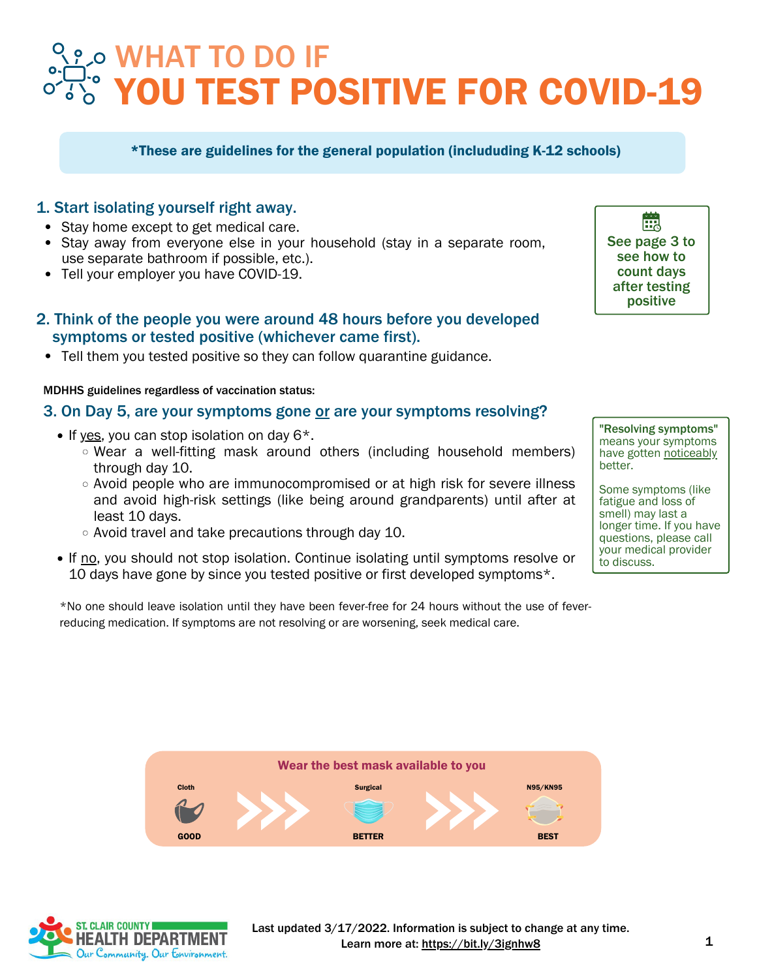# YOU TEST POSITIVE FOR COVID-19 WHAT TO DO IF

#### \*These are guidelines for the general population (includuding K-12 schools)

#### 1. Start isolating yourself right away.

- Stay home except to get medical care.
- Stay away from everyone else in your household (stay in a separate room, use separate bathroom if possible, etc.).
- Tell your employer you have COVID-19.

#### 2. Think of the people you were around 48 hours before you developed symptoms or tested positive (whichever came first).

Tell them you tested positive so they can follow quarantine guidance.

#### MDHHS guidelines regardless of vaccination status:

#### 3. On Day 5, are your symptoms gone or are your symptoms resolving?

- $\bullet$  If yes, you can stop isolation on day 6<sup>\*</sup>.
	- Wear a well-fitting mask around others (including household members) through day 10.
	- Avoid people who are [immunocompromised](https://www.cdc.gov/coronavirus/2019-ncov/need-extra-precautions/people-with-medical-conditions.html) or at high risk for severe illness and avoid high-risk settings (like being around grandparents) until after at least 10 days.
	- $\circ$  Avoid travel and take precautions through day 10.
- If no, you should not stop isolation. Continue isolating until symptoms resolve or 10 days have gone by since you tested positive or first developed symptoms\*.

\*No one should leave isolation until they have been fever-free for 24 hours without the use of feverreducing medication. If symptoms are not resolving or are worsening, seek medical care.

"Resolving symptoms" means your symptoms have gotten noticeably

See page 3 to see how to count days after testing positive

齥

better. Some symptoms (like fatigue and loss of

smell) may last a longer time. If you have questions, please call your medical provider to discuss.



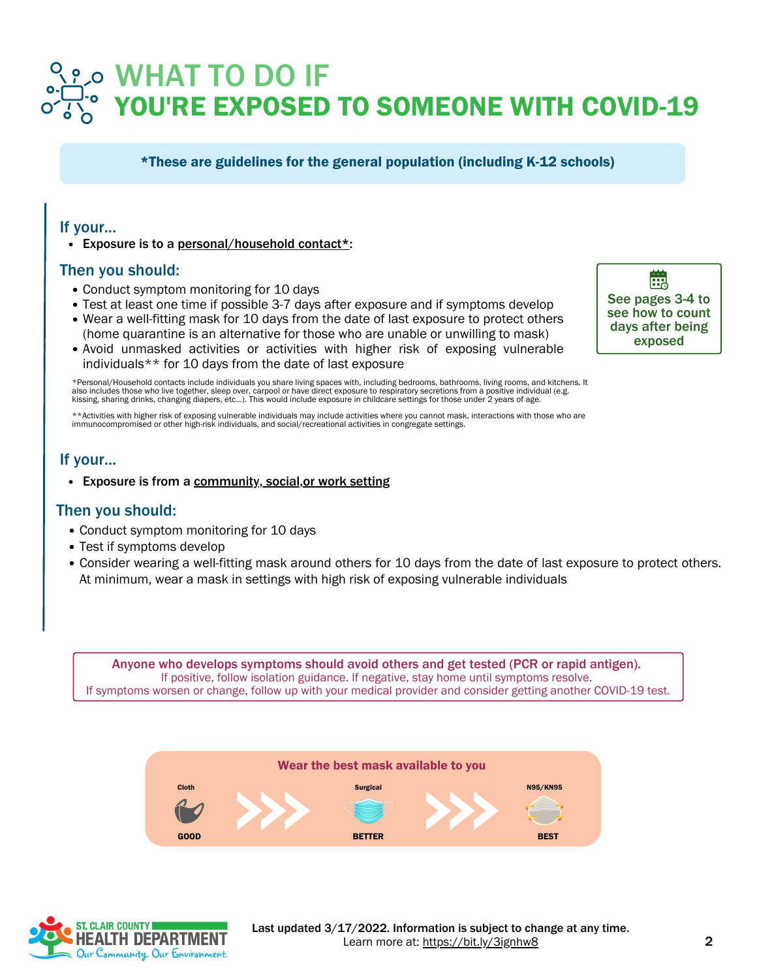## YOU'RE EXPOSED TO SOMEONE WITH COVID-19 WHAT TO DO IF

\*These are guidelines for the general population (including K-12 schools)

#### If your...

Exposure is to a personal/household contact\*:

#### Then you should:

- Conduct symptom monitoring for 10 days
- Test at least one time if possible 3-7 days after exposure and if symptoms develop
- Wear a well-fitting mask for 10 days from the date of last exposure to protect others (home quarantine is an alternative for those who are unable or unwilling to mask)
- Avoid unmasked activities or activities with higher risk of exposing vulnerable individuals\*\* for 10 days from the date of last exposure

\*Personal/Household contacts include individuals you share living spaces with, including bedrooms, bathrooms, living rooms, and kitchens. It<br>also includes those who live together, sleep over, carpool or have direct exposur kissing, sharing drinks, changing diapers, etc...). This would include exposure in childcare settings for those under 2 years of age.

\*\*Activities with higher risk of exposing vulnerable individuals may include activities where you cannot mask, interactions with those who are<br>immunocompromised or other high-risk individuals, and social/recreational activ

#### If your...

Exposure is from a community, social,or work setting

#### Then you should:

- Conduct symptom monitoring for 10 days
- Test if symptoms develop
- Consider wearing a well-fitting mask around others for 10 days from the date of last exposure to protect others. At minimum, wear a mask in settings with high risk of exposing vulnerable individuals

Anyone who develops symptoms should avoid others and get tested (PCR or rapid antigen). If positive, follow isolation guidance. If negative, stay home until symptoms resolve. If symptoms worsen or change, follow up with your medical provider and consider getting another COVID-19 test.





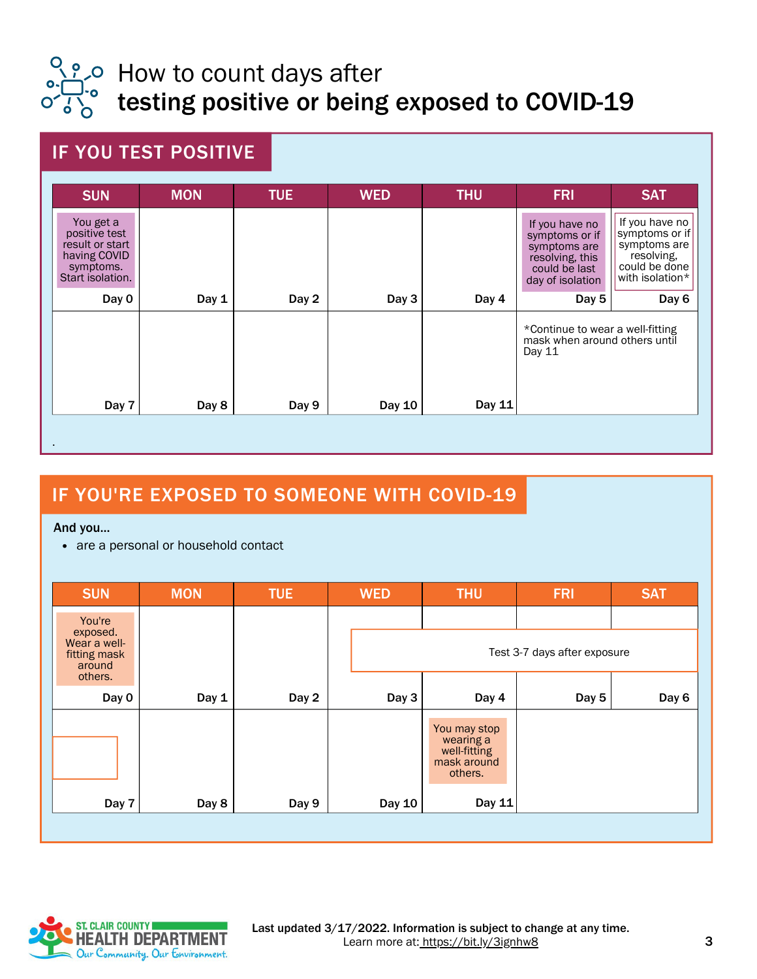

## ္လို *p* How to count days after testing positive or being exposed to COVID-19

### IF YOU TEST POSITIVE

| <b>SUN</b>                                                                                     | <b>MON</b> | <b>TUE</b> | <b>WED</b> | <b>THU</b> | <b>FRI</b>                                                                                               | <b>SAT</b>                                                                                         |
|------------------------------------------------------------------------------------------------|------------|------------|------------|------------|----------------------------------------------------------------------------------------------------------|----------------------------------------------------------------------------------------------------|
| You get a<br>positive test<br>result or start<br>having COVID<br>symptoms.<br>Start isolation. |            |            |            |            | If you have no<br>symptoms or if<br>symptoms are<br>resolving, this<br>could be last<br>day of isolation | If you have no<br>symptoms or if<br>symptoms are<br>resolving,<br>could be done<br>with isolation* |
| Day 0                                                                                          | Day 1      | Day 2      | Day 3      | Day 4      | Day 5                                                                                                    | Day 6                                                                                              |
|                                                                                                |            |            |            |            | *Continue to wear a well-fitting<br>mask when around others until<br>Day 11                              |                                                                                                    |
| Day 7                                                                                          | Day 8      | Day 9      | Day 10     | Day 11     |                                                                                                          |                                                                                                    |

### IF YOU'RE EXPOSED TO SOMEONE WITH COVID-19

And you...

• are a personal or household contact

| <b>SUN</b>                                                              | <b>MON</b> | <b>TUE</b> | <b>WED</b> | <b>THU</b>                                                          | <b>FRI</b>                   | <b>SAT</b> |
|-------------------------------------------------------------------------|------------|------------|------------|---------------------------------------------------------------------|------------------------------|------------|
| You're<br>exposed.<br>Wear a well-<br>fitting mask<br>around<br>others. |            |            |            |                                                                     | Test 3-7 days after exposure |            |
| Day 0                                                                   | Day 1      | Day 2      | Day 3      | Day 4                                                               | Day 5                        | Day 6      |
|                                                                         |            |            |            | You may stop<br>wearing a<br>well-fitting<br>mask around<br>others. |                              |            |
| Day 7                                                                   | Day 8      | Day 9      | Day 10     | Day 11                                                              |                              |            |